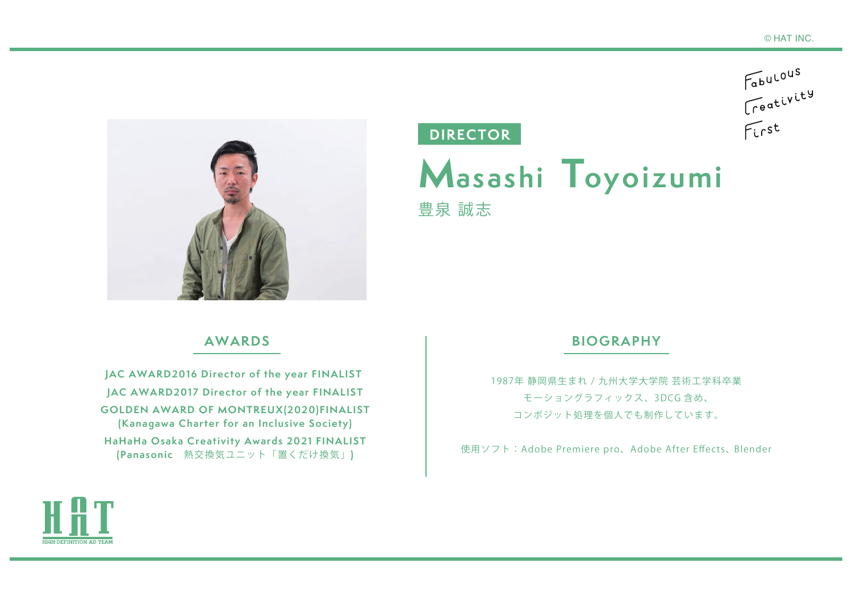Fabulous<br>Creativity



## **AWARDS**

**JAC AWARD2016 Director of the year FINALIST JAC AWARD2017 Director of the year FINALIST GOLDEN AWARD OF MONTREUX(2020)FINALIST (Kanagawa Charter for an Inclusive Society) HaHaHa Osaka Creativity Awards 2021 FINALIST (Panasonic** 熱交換気ユニット「置くだけ換気」**)**

## **DIRECTOR**

**M asashi Toyoizumi** 豊泉 誠志

## **BIOGRAPHY**

1987年 静岡県生まれ / 九州大学大学院 芸術工学科卒業 モーショングラフィックス、3DCG 含め、 コンポジット処理を個人でも制作しています。

使用ソフト:Adobe Premiere pro、Adobe After Effects、 Blender